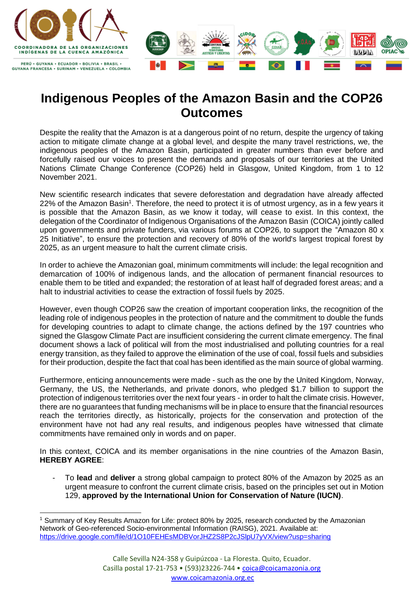

## **Indigenous Peoples of the Amazon Basin and the COP26 Outcomes**

Despite the reality that the Amazon is at a dangerous point of no return, despite the urgency of taking action to mitigate climate change at a global level, and despite the many travel restrictions, we, the indigenous peoples of the Amazon Basin, participated in greater numbers than ever before and forcefully raised our voices to present the demands and proposals of our territories at the United Nations Climate Change Conference (COP26) held in Glasgow, United Kingdom, from 1 to 12 November 2021.

New scientific research indicates that severe deforestation and degradation have already affected 22% of the Amazon Basin<sup>1</sup>. Therefore, the need to protect it is of utmost urgency, as in a few years it is possible that the Amazon Basin, as we know it today, will cease to exist. In this context, the delegation of the Coordinator of Indigenous Organisations of the Amazon Basin (COICA) jointly called upon governments and private funders, via various forums at COP26, to support the "Amazon 80 x 25 Initiative", to ensure the protection and recovery of 80% of the world's largest tropical forest by 2025, as an urgent measure to halt the current climate crisis.

In order to achieve the Amazonian goal, minimum commitments will include: the legal recognition and demarcation of 100% of indigenous lands, and the allocation of permanent financial resources to enable them to be titled and expanded; the restoration of at least half of degraded forest areas; and a halt to industrial activities to cease the extraction of fossil fuels by 2025.

However, even though COP26 saw the creation of important cooperation links, the recognition of the leading role of indigenous peoples in the protection of nature and the commitment to double the funds for developing countries to adapt to climate change, the actions defined by the 197 countries who signed the Glasgow Climate Pact are insufficient considering the current climate emergency. The final document shows a lack of political will from the most industrialised and polluting countries for a real energy transition, as they failed to approve the elimination of the use of coal, fossil fuels and subsidies for their production, despite the fact that coal has been identified as the main source of global warming.

Furthermore, enticing announcements were made - such as the one by the United Kingdom, Norway, Germany, the US, the Netherlands, and private donors, who pledged \$1.7 billion to support the protection of indigenous territories over the next four years - in order to halt the climate crisis. However, there are no guarantees that funding mechanisms will be in place to ensure that the financial resources reach the territories directly, as historically, projects for the conservation and protection of the environment have not had any real results, and indigenous peoples have witnessed that climate commitments have remained only in words and on paper.

In this context, COICA and its member organisations in the nine countries of the Amazon Basin, **HEREBY AGREE**:

- To **lead** and **deliver** a strong global campaign to protect 80% of the Amazon by 2025 as an urgent measure to confront the current climate crisis, based on the principles set out in Motion 129, **approved by the International Union for Conservation of Nature (IUCN)**.

<sup>1</sup> Summary of Key Results Amazon for Life: protect 80% by 2025, research conducted by the Amazonian Network of Geo-referenced Socio-environmental Information (RAISG), 2021. Available at: <https://drive.google.com/file/d/1O10FEHEsMDBVorJHZ2S8P2cJSlpU7yVX/view?usp=sharing>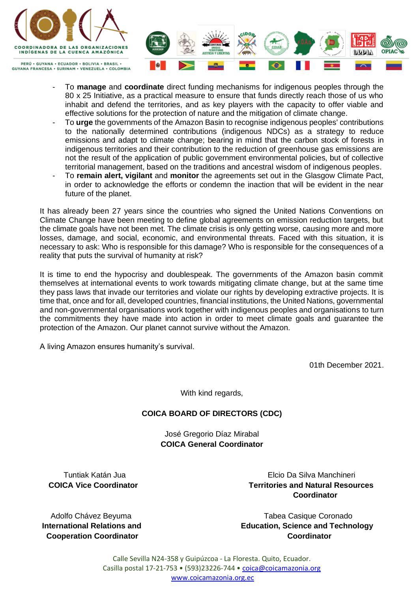

**GUYANA FRANCESA · SURINAM · VENEZUELA · COLOMBIA** 



- To **manage** and **coordinate** direct funding mechanisms for indigenous peoples through the 80 x 25 Initiative, as a practical measure to ensure that funds directly reach those of us who inhabit and defend the territories, and as key players with the capacity to offer viable and effective solutions for the protection of nature and the mitigation of climate change.
- To **urge** the governments of the Amazon Basin to recognise indigenous peoples' contributions to the nationally determined contributions (indigenous NDCs) as a strategy to reduce emissions and adapt to climate change; bearing in mind that the carbon stock of forests in indigenous territories and their contribution to the reduction of greenhouse gas emissions are not the result of the application of public government environmental policies, but of collective territorial management, based on the traditions and ancestral wisdom of indigenous peoples.
- To **remain alert, vigilant** and **monitor** the agreements set out in the Glasgow Climate Pact, in order to acknowledge the efforts or condemn the inaction that will be evident in the near future of the planet.

It has already been 27 years since the countries who signed the United Nations Conventions on Climate Change have been meeting to define global agreements on emission reduction targets, but the climate goals have not been met. The climate crisis is only getting worse, causing more and more losses, damage, and social, economic, and environmental threats. Faced with this situation, it is necessary to ask: Who is responsible for this damage? Who is responsible for the consequences of a reality that puts the survival of humanity at risk?

It is time to end the hypocrisy and doublespeak. The governments of the Amazon basin commit themselves at international events to work towards mitigating climate change, but at the same time they pass laws that invade our territories and violate our rights by developing extractive projects. It is time that, once and for all, developed countries, financial institutions, the United Nations, governmental and non-governmental organisations work together with indigenous peoples and organisations to turn the commitments they have made into action in order to meet climate goals and guarantee the protection of the Amazon. Our planet cannot survive without the Amazon.

A living Amazon ensures humanity's survival.

01th December 2021.

With kind regards,

## **COICA BOARD OF DIRECTORS (CDC)**

José Gregorio Díaz Mirabal **COICA General Coordinator**

Tuntiak Katán Jua **Elecio Da Silva Manchineri** 

 **COICA Vice Coordinator Territories and Natural Resources Coordinator**

 **Cooperation Coordinator Coordinator**

Adolfo Chávez Beyuma Tabea Casique Coronado **International Relations and Education, Science and Technology**

> Calle Sevilla N24-358 y Guipúzcoa - La Floresta. Quito, Ecuador. Casilla postal 17-21-753 • (593)23226-744 • [coica@coicamazonia.org](mailto:coica@coicamazonia.org)  [www.coicamazonia.org.ec](http://www.coicamazonia.org.ec/)